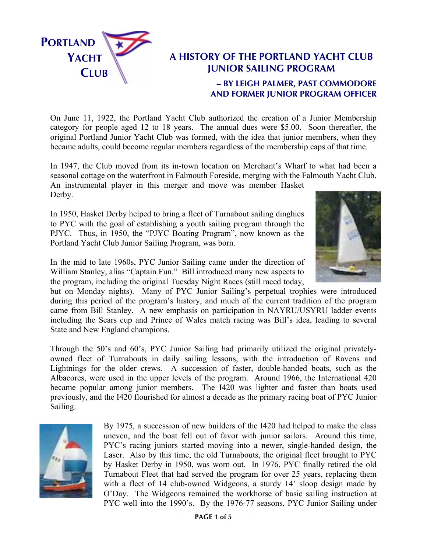

## **A HISTORY OF THE PORTLAND YACHT CLUB JUNIOR SAILING PROGRAM – BY LEIGH PALMER, PAST COMMODORE**

**AND FORMER JUNIOR PROGRAM OFFICER**

On June 11, 1922, the Portland Yacht Club authorized the creation of a Junior Membership category for people aged 12 to 18 years. The annual dues were \$5.00. Soon thereafter, the original Portland Junior Yacht Club was formed, with the idea that junior members, when they became adults, could become regular members regardless of the membership caps of that time.

In 1947, the Club moved from its in-town location on Merchant's Wharf to what had been a seasonal cottage on the waterfront in Falmouth Foreside, merging with the Falmouth Yacht Club.

An instrumental player in this merger and move was member Hasket Derby.

In 1950, Hasket Derby helped to bring a fleet of Turnabout sailing dinghies to PYC with the goal of establishing a youth sailing program through the PJYC. Thus, in 1950, the "PJYC Boating Program", now known as the Portland Yacht Club Junior Sailing Program, was born.



In the mid to late 1960s, PYC Junior Sailing came under the direction of William Stanley, alias "Captain Fun." Bill introduced many new aspects to the program, including the original Tuesday Night Races (still raced today,

but on Monday nights). Many of PYC Junior Sailing's perpetual trophies were introduced during this period of the program's history, and much of the current tradition of the program came from Bill Stanley. A new emphasis on participation in NAYRU/USYRU ladder events including the Sears cup and Prince of Wales match racing was Bill's idea, leading to several State and New England champions.

Through the 50's and 60's, PYC Junior Sailing had primarily utilized the original privatelyowned fleet of Turnabouts in daily sailing lessons, with the introduction of Ravens and Lightnings for the older crews. A succession of faster, double-handed boats, such as the Albacores, were used in the upper levels of the program. Around 1966, the International 420 became popular among junior members. The I420 was lighter and faster than boats used previously, and the I420 flourished for almost a decade as the primary racing boat of PYC Junior Sailing.



By 1975, a succession of new builders of the I420 had helped to make the class uneven, and the boat fell out of favor with junior sailors. Around this time, PYC's racing juniors started moving into a newer, single-handed design, the Laser. Also by this time, the old Turnabouts, the original fleet brought to PYC by Hasket Derby in 1950, was worn out. In 1976, PYC finally retired the old Turnabout Fleet that had served the program for over 25 years, replacing them with a fleet of 14 club-owned Widgeons, a sturdy 14' sloop design made by O'Day. The Widgeons remained the workhorse of basic sailing instruction at PYC well into the 1990's. By the 1976-77 seasons, PYC Junior Sailing under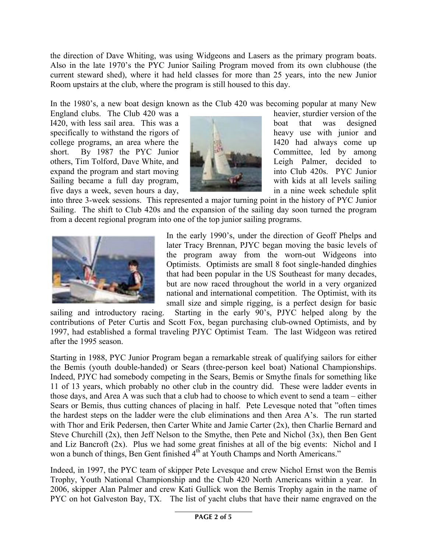the direction of Dave Whiting, was using Widgeons and Lasers as the primary program boats. Also in the late 1970's the PYC Junior Sailing Program moved from its own clubhouse (the current steward shed), where it had held classes for more than 25 years, into the new Junior Room upstairs at the club, where the program is still housed to this day.

In the 1980's, a new boat design known as the Club 420 was becoming popular at many New

England clubs. The Club 420 was a heavier, sturdier version of the I420, with less sail area. This was a boat that was designed specifically to withstand the rigors of heavy use with junior and college programs, an area where the I420 had always come up short. By 1987 the PYC Junior Committee, led by among others, Tim Tolford, Dave White, and **Leigh Palmer**, decided to expand the program and start moving **into Club 420s.** PYC Junior Sailing became a full day program, with kids at all levels sailing five days a week, seven hours a day, in a nine week schedule split



into three 3-week sessions. This represented a major turning point in the history of PYC Junior Sailing. The shift to Club 420s and the expansion of the sailing day soon turned the program from a decent regional program into one of the top junior sailing programs.



In the early 1990's, under the direction of Geoff Phelps and later Tracy Brennan, PJYC began moving the basic levels of the program away from the worn-out Widgeons into Optimists. Optimists are small 8 foot single-handed dinghies that had been popular in the US Southeast for many decades, but are now raced throughout the world in a very organized national and international competition. The Optimist, with its small size and simple rigging, is a perfect design for basic

sailing and introductory racing. Starting in the early 90's, PJYC helped along by the contributions of Peter Curtis and Scott Fox, began purchasing club-owned Optimists, and by 1997, had established a formal traveling PJYC Optimist Team. The last Widgeon was retired after the 1995 season.

Starting in 1988, PYC Junior Program began a remarkable streak of qualifying sailors for either the Bemis (youth double-handed) or Sears (three-person keel boat) National Championships. Indeed, PJYC had somebody competing in the Sears, Bemis or Smythe finals for something like 11 of 13 years, which probably no other club in the country did. These were ladder events in those days, and Area A was such that a club had to choose to which event to send a team – either Sears or Bemis, thus cutting chances of placing in half. Pete Levesque noted that "often times the hardest steps on the ladder were the club eliminations and then Area A's. The run started with Thor and Erik Pedersen, then Carter White and Jamie Carter (2x), then Charlie Bernard and Steve Churchill (2x), then Jeff Nelson to the Smythe, then Pete and Nichol (3x), then Ben Gent and Liz Bancroft (2x). Plus we had some great finishes at all of the big events: Nichol and I won a bunch of things, Ben Gent finished 4<sup>th</sup> at Youth Champs and North Americans."

Indeed, in 1997, the PYC team of skipper Pete Levesque and crew Nichol Ernst won the Bemis Trophy, Youth National Championship and the Club 420 North Americans within a year. In 2006, skipper Alan Palmer and crew Kati Gullick won the Bemis Trophy again in the name of PYC on hot Galveston Bay, TX. The list of yacht clubs that have their name engraved on the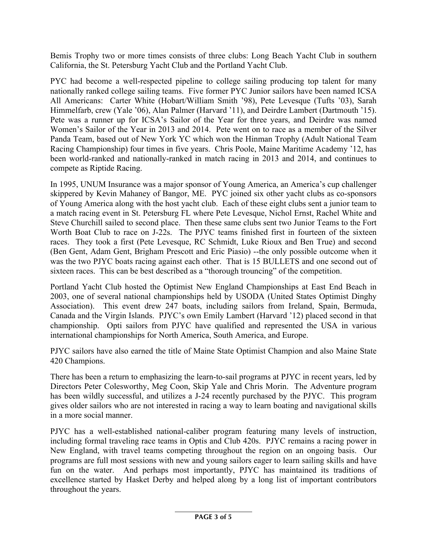Bemis Trophy two or more times consists of three clubs: Long Beach Yacht Club in southern California, the St. Petersburg Yacht Club and the Portland Yacht Club.

PYC had become a well-respected pipeline to college sailing producing top talent for many nationally ranked college sailing teams. Five former PYC Junior sailors have been named ICSA All Americans: Carter White (Hobart/William Smith '98), Pete Levesque (Tufts '03), Sarah Himmelfarb, crew (Yale '06), Alan Palmer (Harvard '11), and Deirdre Lambert (Dartmouth '15). Pete was a runner up for ICSA's Sailor of the Year for three years, and Deirdre was named Women's Sailor of the Year in 2013 and 2014. Pete went on to race as a member of the Silver Panda Team, based out of New York YC which won the Hinman Trophy (Adult National Team Racing Championship) four times in five years. Chris Poole, Maine Maritime Academy '12, has been world-ranked and nationally-ranked in match racing in 2013 and 2014, and continues to compete as Riptide Racing.

In 1995, UNUM Insurance was a major sponsor of Young America, an America's cup challenger skippered by Kevin Mahaney of Bangor, ME. PYC joined six other yacht clubs as co-sponsors of Young America along with the host yacht club. Each of these eight clubs sent a junior team to a match racing event in St. Petersburg FL where Pete Levesque, Nichol Ernst, Rachel White and Steve Churchill sailed to second place. Then these same clubs sent two Junior Teams to the Fort Worth Boat Club to race on J-22s. The PJYC teams finished first in fourteen of the sixteen races. They took a first (Pete Levesque, RC Schmidt, Luke Rioux and Ben True) and second (Ben Gent, Adam Gent, Brigham Prescott and Eric Piasio) --the only possible outcome when it was the two PJYC boats racing against each other. That is 15 BULLETS and one second out of sixteen races. This can be best described as a "thorough trouncing" of the competition.

Portland Yacht Club hosted the Optimist New England Championships at East End Beach in 2003, one of several national championships held by USODA (United States Optimist Dinghy Association). This event drew 247 boats, including sailors from Ireland, Spain, Bermuda, Canada and the Virgin Islands. PJYC's own Emily Lambert (Harvard '12) placed second in that championship. Opti sailors from PJYC have qualified and represented the USA in various international championships for North America, South America, and Europe.

PJYC sailors have also earned the title of Maine State Optimist Champion and also Maine State 420 Champions.

There has been a return to emphasizing the learn-to-sail programs at PJYC in recent years, led by Directors Peter Colesworthy, Meg Coon, Skip Yale and Chris Morin. The Adventure program has been wildly successful, and utilizes a J-24 recently purchased by the PJYC. This program gives older sailors who are not interested in racing a way to learn boating and navigational skills in a more social manner.

PJYC has a well-established national-caliber program featuring many levels of instruction, including formal traveling race teams in Optis and Club 420s. PJYC remains a racing power in New England, with travel teams competing throughout the region on an ongoing basis. Our programs are full most sessions with new and young sailors eager to learn sailing skills and have fun on the water. And perhaps most importantly, PJYC has maintained its traditions of excellence started by Hasket Derby and helped along by a long list of important contributors throughout the years.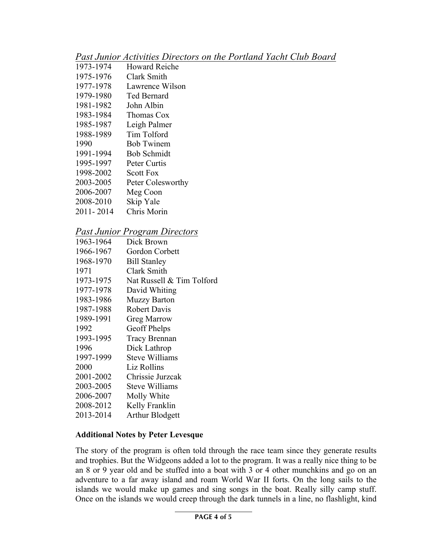| Past Junior Activities Directors on the Portland Yacht Club Board |  |
|-------------------------------------------------------------------|--|
|-------------------------------------------------------------------|--|

| 1 WOU O WINDI |                      |
|---------------|----------------------|
| 1973-1974     | <b>Howard Reiche</b> |
| 1975-1976     | Clark Smith          |
| 1977-1978     | Lawrence Wilson      |
| 1979-1980     | Ted Bernard          |
| 1981-1982     | John Albin           |
| 1983-1984     | Thomas Cox           |
| 1985-1987     | Leigh Palmer         |
| 1988-1989     | <b>Tim Tolford</b>   |
| 1990          | <b>Bob Twinem</b>    |
| 1991-1994     | <b>Bob Schmidt</b>   |
| 1995-1997     | Peter Curtis         |
| 1998-2002     | <b>Scott Fox</b>     |
| 2003-2005     | Peter Colesworthy    |
| 2006-2007     | Meg Coon             |
| 2008-2010     | Skip Yale            |
| 2011-2014     | Chris Morin          |
|               |                      |

## *Past Junior Program Directors*

| 1963-1964 | Dick Brown                |
|-----------|---------------------------|
| 1966-1967 | Gordon Corbett            |
| 1968-1970 | <b>Bill Stanley</b>       |
| 1971      | Clark Smith               |
| 1973-1975 | Nat Russell & Tim Tolford |
| 1977-1978 | David Whiting             |
| 1983-1986 | <b>Muzzy Barton</b>       |
| 1987-1988 | <b>Robert Davis</b>       |
| 1989-1991 | <b>Greg Marrow</b>        |
| 1992      | Geoff Phelps              |
| 1993-1995 | <b>Tracy Brennan</b>      |
| 1996      | Dick Lathrop              |
| 1997-1999 | <b>Steve Williams</b>     |
| 2000      | Liz Rollins               |
| 2001-2002 | Chrissie Jurzcak          |
| 2003-2005 | Steve Williams            |
| 2006-2007 | Molly White               |
| 2008-2012 | Kelly Franklin            |
| 2013-2014 | <b>Arthur Blodgett</b>    |
|           |                           |

## **Additional Notes by Peter Levesque**

The story of the program is often told through the race team since they generate results and trophies. But the Widgeons added a lot to the program. It was a really nice thing to be an 8 or 9 year old and be stuffed into a boat with 3 or 4 other munchkins and go on an adventure to a far away island and roam World War II forts. On the long sails to the islands we would make up games and sing songs in the boat. Really silly camp stuff. Once on the islands we would creep through the dark tunnels in a line, no flashlight, kind